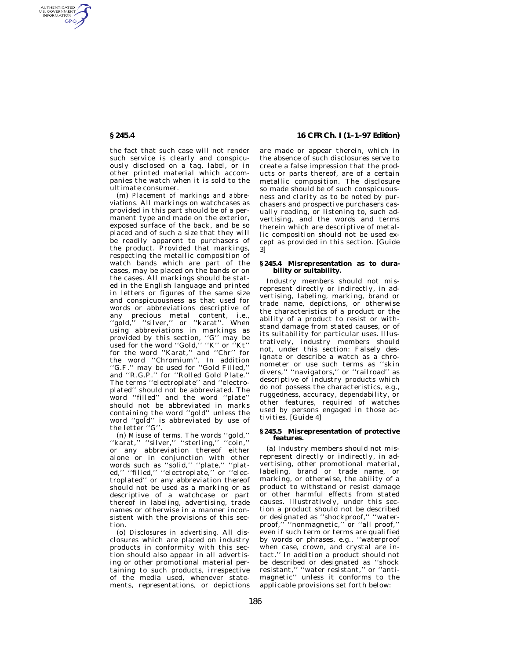AUTHENTICATED<br>U.S. GOVERNMENT<br>INFORMATION **GPO** 

> the fact that such case will not render such service is clearly and conspicuously disclosed on a tag, label, or in other printed material which accompanies the watch when it is sold to the ultimate consumer.

(m) *Placement of markings and abbreviations.* All markings on watchcases as provided in this part should be of a permanent type and made on the exterior, exposed surface of the back, and be so placed and of such a size that they will be readily apparent to purchasers of the product. Provided that markings, respecting the metallic composition of watch bands which are part of the cases, may be placed on the bands or on the cases. All markings should be stated in the English language and printed in letters or figures of the same size and conspicuousness as that used for words or abbreviations descriptive of any precious metal content, i.e., ''gold,'' ''silver,'' or ''karat''. When using abbreviations in markings as provided by this section, ''G'' may be used for the word ''Gold,'' ''K'' or ''Kt'' for the word ''Karat,'' and ''Chr'' for the word ''Chromium''. In addition ''G.F.'' may be used for ''Gold Filled,'' and ''R.G.P.'' for ''Rolled Gold Plate.'' The terms ''electroplate'' and ''electroplated'' should not be abbreviated. The word ''filled'' and the word ''plate'' should not be abbreviated in marks containing the word ''gold'' unless the word ''gold'' is abbreviated by use of the letter "G"

(n) *Misuse of terms.* The words ''gold,'' ''karat,'' ''silver,'' ''sterling,'' ''coin,'' or any abbreviation thereof either alone or in conjunction with other words such as ''solid,'' ''plate,'' ''plated,'' ''filled,'' ''electroplate,'' or ''electroplated'' or any abbreviation thereof should not be used as a marking or as descriptive of a watchcase or part thereof in labeling, advertising, trade names or otherwise in a manner inconsistent with the provisions of this section.

(o) *Disclosures in advertising.* All disclosures which are placed on industry products in conformity with this section should also appear in all advertising or other promotional material pertaining to such products, irrespective of the media used, whenever statements, representations, or depictions

# **§ 245.4 16 CFR Ch. I (1–1–97 Edition)**

are made or appear therein, which in the absence of such disclosures serve to create a false impression that the products or parts thereof, are of a certain metallic composition. The disclosure so made should be of such conspicuousness and clarity as to be noted by purchasers and prospective purchasers casually reading, or listening to, such advertising, and the words and terms therein which are descriptive of metallic composition should not be used except as provided in this section. [Guide 3]

### **§ 245.4 Misrepresentation as to durability or suitability.**

Industry members should not misrepresent directly or indirectly, in advertising, labeling, marking, brand or trade name, depictions, or otherwise the characteristics of a product or the ability of a product to resist or withstand damage from stated causes, or of its suitability for particular uses. Illustratively, industry members should not, under this section: Falsely designate or describe a watch as a chronometer or use such terms as ''skin divers," "navigators," or "railroad" as descriptive of industry products which do not possess the characteristics, e.g., ruggedness, accuracy, dependability, or other features, required of watches used by persons engaged in those activities. [Guide 4]

## **§ 245.5 Misrepresentation of protective features.**

(a) Industry members should not misrepresent directly or indirectly, in advertising, other promotional material, labeling, brand or trade name, or marking, or otherwise, the ability of a product to withstand or resist damage or other harmful effects from stated causes. Illustratively, under this section a product should not be described or designated as ''shockproof,'' ''waterproof," "nonmagnetic," or "all proof," even if such term or terms are qualified by words or phrases, e.g., ''waterproof when case, crown, and crystal are intact.'' In addition a product should not be described or designated as ''shock resistant,'' ''water resistant,'' or ''antimagnetic'' unless it conforms to the applicable provisions set forth below: